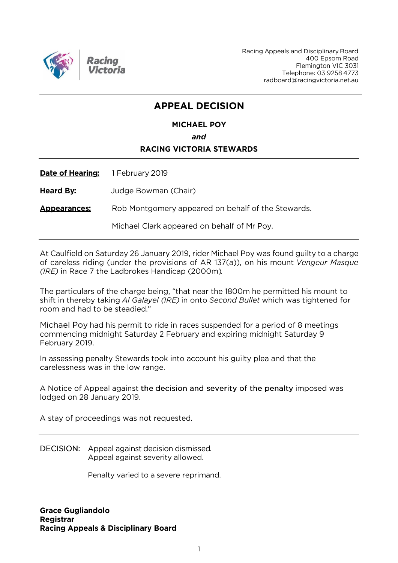

Racing Appeals and Disciplinary Board 400 Epsom Road Flemington VIC 3031 Telephone: 03 9258 4773 radboard@racingvictoria.net.au

## **APPEAL DECISION**

## **MICHAEL POY** and **RACING VICTORIA STEWARDS**

| <u>Date of Hearing:</u> | 1 February 2019                                    |
|-------------------------|----------------------------------------------------|
| <u>Heard By:</u>        | Judge Bowman (Chair)                               |
| <u>Appearances:</u>     | Rob Montgomery appeared on behalf of the Stewards. |
|                         | Michael Clark appeared on behalf of Mr Poy.        |

At Caulfield on Saturday 26 January 2019, rider Michael Poy was found guilty to a charge of careless riding (under the provisions of AR 137(a)), on his mount Vengeur Masque (IRE) in Race 7 the Ladbrokes Handicap (2000m).

The particulars of the charge being, "that near the 1800m he permitted his mount to shift in thereby taking AI Galayel (IRE) in onto Second Bullet which was tightened for room and had to be steadied."

Michael Poy had his permit to ride in races suspended for a period of 8 meetings commencing midnight Saturday 2 February and expiring midnight Saturday 9 February 2019.

In assessing penalty Stewards took into account his guilty plea and that the carelessness was in the low range.

A Notice of Appeal against the decision and severity of the penalty imposed was lodged on 28 January 2019.

A stay of proceedings was not requested.

**DECISION:** Appeal against decision dismissed. Appeal against severity allowed.

Penalty varied to a severe reprimand.

**Grace Gugliandolo** Registrar **Racing Appeals & Disciplinary Board**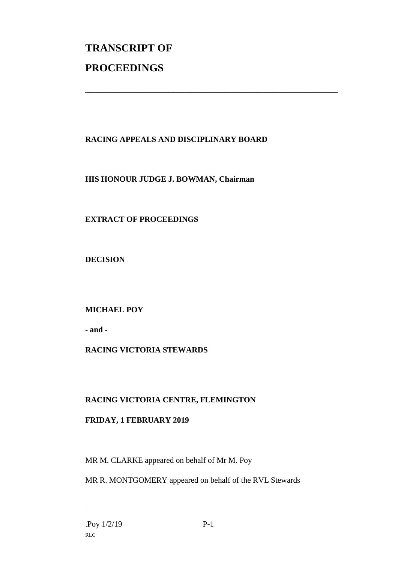# **TRANSCRIPT OF PROCEEDINGS**

### **RACING APPEALS AND DISCIPLINARY BOARD**

\_\_\_\_\_\_\_\_\_\_\_\_\_\_\_\_\_\_\_\_\_\_\_\_\_\_\_\_\_\_\_\_\_\_\_\_\_\_\_\_\_\_\_\_\_\_\_\_\_\_\_\_\_\_\_\_\_\_\_\_\_\_\_

#### **HIS HONOUR JUDGE J. BOWMAN, Chairman**

#### **EXTRACT OF PROCEEDINGS**

**DECISION**

#### **MICHAEL POY**

**- and -**

#### **RACING VICTORIA STEWARDS**

#### **RACING VICTORIA CENTRE, FLEMINGTON**

#### **FRIDAY, 1 FEBRUARY 2019**

MR M. CLARKE appeared on behalf of Mr M. Poy

MR R. MONTGOMERY appeared on behalf of the RVL Stewards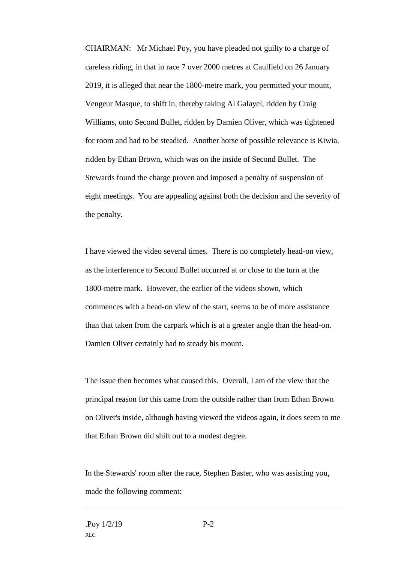CHAIRMAN: Mr Michael Poy, you have pleaded not guilty to a charge of careless riding, in that in race 7 over 2000 metres at Caulfield on 26 January 2019, it is alleged that near the 1800-metre mark, you permitted your mount, Vengeur Masque, to shift in, thereby taking Al Galayel, ridden by Craig Williams, onto Second Bullet, ridden by Damien Oliver, which was tightened for room and had to be steadied. Another horse of possible relevance is Kiwia, ridden by Ethan Brown, which was on the inside of Second Bullet. The Stewards found the charge proven and imposed a penalty of suspension of eight meetings. You are appealing against both the decision and the severity of the penalty.

I have viewed the video several times. There is no completely head-on view, as the interference to Second Bullet occurred at or close to the turn at the 1800-metre mark. However, the earlier of the videos shown, which commences with a head-on view of the start, seems to be of more assistance than that taken from the carpark which is at a greater angle than the head-on. Damien Oliver certainly had to steady his mount.

The issue then becomes what caused this. Overall, I am of the view that the principal reason for this came from the outside rather than from Ethan Brown on Oliver's inside, although having viewed the videos again, it does seem to me that Ethan Brown did shift out to a modest degree.

In the Stewards' room after the race, Stephen Baster, who was assisting you, made the following comment: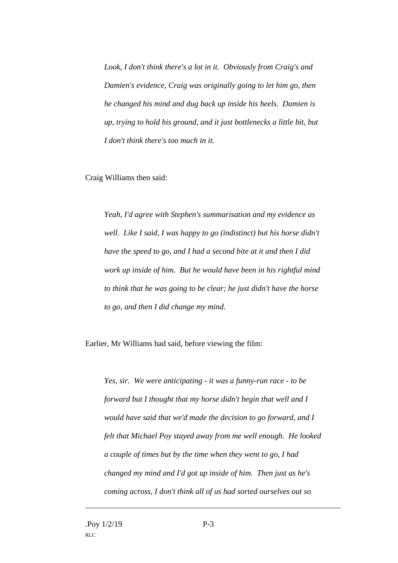*Look, I don't think there's a lot in it. Obviously from Craig's and Damien's evidence, Craig was originally going to let him go, then he changed his mind and dug back up inside his heels. Damien is up, trying to hold his ground, and it just bottlenecks a little bit, but I don't think there's too much in it.* 

Craig Williams then said:

*Yeah, I'd agree with Stephen's summarisation and my evidence as well. Like I said, I was happy to go (indistinct) but his horse didn't have the speed to go, and I had a second bite at it and then I did work up inside of him. But he would have been in his rightful mind to think that he was going to be clear; he just didn't have the horse to go, and then I did change my mind.* 

Earlier, Mr Williams had said, before viewing the film:

*Yes, sir. We were anticipating - it was a funny-run race - to be forward but I thought that my horse didn't begin that well and I would have said that we'd made the decision to go forward, and I felt that Michael Poy stayed away from me well enough. He looked a couple of times but by the time when they went to go, I had changed my mind and I'd got up inside of him. Then just as he's coming across, I don't think all of us had sorted ourselves out so*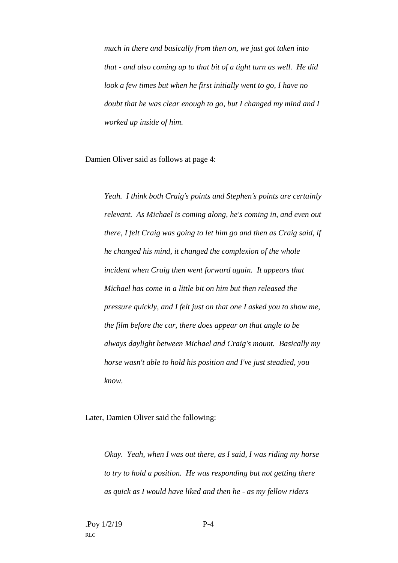*much in there and basically from then on, we just got taken into that - and also coming up to that bit of a tight turn as well. He did look a few times but when he first initially went to go, I have no doubt that he was clear enough to go, but I changed my mind and I worked up inside of him.* 

Damien Oliver said as follows at page 4:

*Yeah. I think both Craig's points and Stephen's points are certainly relevant. As Michael is coming along, he's coming in, and even out there, I felt Craig was going to let him go and then as Craig said, if he changed his mind, it changed the complexion of the whole incident when Craig then went forward again. It appears that Michael has come in a little bit on him but then released the pressure quickly, and I felt just on that one I asked you to show me, the film before the car, there does appear on that angle to be always daylight between Michael and Craig's mount. Basically my horse wasn't able to hold his position and I've just steadied, you know.* 

Later, Damien Oliver said the following:

*Okay. Yeah, when I was out there, as I said, I was riding my horse to try to hold a position. He was responding but not getting there as quick as I would have liked and then he - as my fellow riders*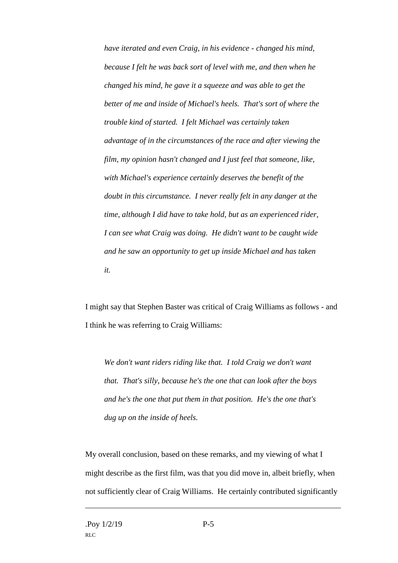*have iterated and even Craig, in his evidence - changed his mind, because I felt he was back sort of level with me, and then when he changed his mind, he gave it a squeeze and was able to get the better of me and inside of Michael's heels. That's sort of where the trouble kind of started. I felt Michael was certainly taken advantage of in the circumstances of the race and after viewing the film, my opinion hasn't changed and I just feel that someone, like, with Michael's experience certainly deserves the benefit of the doubt in this circumstance. I never really felt in any danger at the time, although I did have to take hold, but as an experienced rider, I can see what Craig was doing. He didn't want to be caught wide and he saw an opportunity to get up inside Michael and has taken it.* 

I might say that Stephen Baster was critical of Craig Williams as follows - and I think he was referring to Craig Williams:

*We don't want riders riding like that. I told Craig we don't want that. That's silly, because he's the one that can look after the boys and he's the one that put them in that position. He's the one that's dug up on the inside of heels.* 

My overall conclusion, based on these remarks, and my viewing of what I might describe as the first film, was that you did move in, albeit briefly, when not sufficiently clear of Craig Williams. He certainly contributed significantly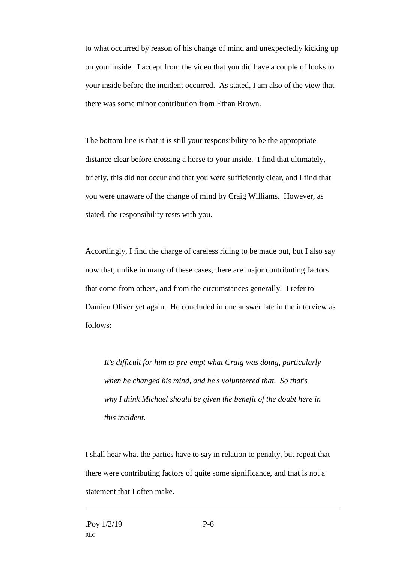to what occurred by reason of his change of mind and unexpectedly kicking up on your inside. I accept from the video that you did have a couple of looks to your inside before the incident occurred. As stated, I am also of the view that there was some minor contribution from Ethan Brown.

The bottom line is that it is still your responsibility to be the appropriate distance clear before crossing a horse to your inside. I find that ultimately, briefly, this did not occur and that you were sufficiently clear, and I find that you were unaware of the change of mind by Craig Williams. However, as stated, the responsibility rests with you.

Accordingly, I find the charge of careless riding to be made out, but I also say now that, unlike in many of these cases, there are major contributing factors that come from others, and from the circumstances generally. I refer to Damien Oliver yet again. He concluded in one answer late in the interview as follows:

*It's difficult for him to pre-empt what Craig was doing, particularly when he changed his mind, and he's volunteered that. So that's why I think Michael should be given the benefit of the doubt here in this incident.* 

I shall hear what the parties have to say in relation to penalty, but repeat that there were contributing factors of quite some significance, and that is not a statement that I often make.